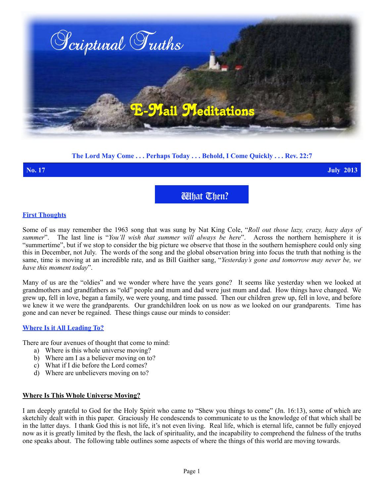

# **The Lord May Come . . . Perhaps Today . . . Behold, I Come Quickly . . . Rev. 22:7**

**No. 17 July 2013**

**What Then?** 

# **First Thoughts**

Some of us may remember the 1963 song that was sung by Nat King Cole, "*Roll out those lazy, crazy, hazy days of summer*". The last line is "*You'll wish that summer will always be here*". Across the northern hemisphere it is "summertime", but if we stop to consider the big picture we observe that those in the southern hemisphere could only sing this in December, not July. The words of the song and the global observation bring into focus the truth that nothing is the same, time is moving at an incredible rate, and as Bill Gaither sang, "*Yesterday's gone and tomorrow may never be, we have this moment today*".

Many of us are the "oldies" and we wonder where have the years gone? It seems like yesterday when we looked at grandmothers and grandfathers as "old" people and mum and dad were just mum and dad. How things have changed. We grew up, fell in love, began a family, we were young, and time passed. Then our children grew up, fell in love, and before we knew it we were the grandparents. Our grandchildren look on us now as we looked on our grandparents. Time has gone and can never be regained. These things cause our minds to consider:

## **Where Is it All Leading To?**

There are four avenues of thought that come to mind:

- a) Where is this whole universe moving?
- b) Where am I as a believer moving on to?
- c) What if I die before the Lord comes?
- d) Where are unbelievers moving on to?

## **Where Is This Whole Universe Moving?**

I am deeply grateful to God for the Holy Spirit who came to "Shew you things to come" (Jn. 16:13), some of which are sketchily dealt with in this paper. Graciously He condescends to communicate to us the knowledge of that which shall be in the latter days. I thank God this is not life, it's not even living. Real life, which is eternal life, cannot be fully enjoyed now as it is greatly limited by the flesh, the lack of spirituality, and the incapability to comprehend the fulness of the truths one speaks about. The following table outlines some aspects of where the things of this world are moving towards.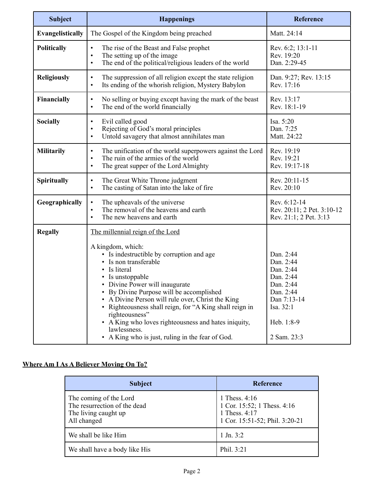| <b>Subject</b>          | <b>Happenings</b>                                                                                                                                                                                                                                                                                                                                                                                                                                                                                          | Reference                                                                                                                           |
|-------------------------|------------------------------------------------------------------------------------------------------------------------------------------------------------------------------------------------------------------------------------------------------------------------------------------------------------------------------------------------------------------------------------------------------------------------------------------------------------------------------------------------------------|-------------------------------------------------------------------------------------------------------------------------------------|
| <b>Evangelistically</b> | The Gospel of the Kingdom being preached                                                                                                                                                                                                                                                                                                                                                                                                                                                                   | Matt. 24:14                                                                                                                         |
| Politically             | The rise of the Beast and False prophet<br>$\bullet$<br>The setting up of the image<br>$\bullet$<br>The end of the political/religious leaders of the world<br>$\bullet$                                                                                                                                                                                                                                                                                                                                   | Rev. 6:2; 13:1-11<br>Rev. 19:20<br>Dan. 2:29-45                                                                                     |
| <b>Religiously</b>      | The suppression of all religion except the state religion<br>$\bullet$<br>Its ending of the whorish religion, Mystery Babylon<br>$\bullet$                                                                                                                                                                                                                                                                                                                                                                 | Dan. 9:27; Rev. 13:15<br>Rev. 17:16                                                                                                 |
| Financially             | No selling or buying except having the mark of the beast<br>$\bullet$<br>The end of the world financially<br>$\bullet$                                                                                                                                                                                                                                                                                                                                                                                     | Rev. 13:17<br>Rev. 18:1-19                                                                                                          |
| <b>Socially</b>         | Evil called good<br>$\bullet$<br>Rejecting of God's moral principles<br>$\bullet$<br>Untold savagery that almost annihilates man<br>$\bullet$                                                                                                                                                                                                                                                                                                                                                              | Isa. $5:20$<br>Dan. 7:25<br>Matt. 24:22                                                                                             |
| <b>Militarily</b>       | The unification of the world superpowers against the Lord<br>$\bullet$<br>The ruin of the armies of the world<br>$\bullet$<br>The great supper of the Lord Almighty<br>$\bullet$                                                                                                                                                                                                                                                                                                                           | Rev. 19:19<br>Rev. 19:21<br>Rev. 19:17-18                                                                                           |
| <b>Spiritually</b>      | The Great White Throne judgment<br>$\bullet$<br>The casting of Satan into the lake of fire                                                                                                                                                                                                                                                                                                                                                                                                                 | Rev. 20:11-15<br>Rev. 20:10                                                                                                         |
| Geographically          | The upheavals of the universe<br>$\bullet$<br>The removal of the heavens and earth<br>$\bullet$<br>The new heavens and earth<br>$\bullet$                                                                                                                                                                                                                                                                                                                                                                  | Rev. 6:12-14<br>Rev. 20:11; 2 Pet. 3:10-12<br>Rev. 21:1; 2 Pet. 3:13                                                                |
| <b>Regally</b>          | The millennial reign of the Lord<br>A kingdom, which:<br>• Is indestructible by corruption and age<br>Is non transferable<br>Is literal<br>Is unstoppable<br>Divine Power will inaugurate<br>By Divine Purpose will be accomplished<br>A Divine Person will rule over, Christ the King<br>Righteousness shall reign, for "A King shall reign in<br>$\bullet$<br>righteousness"<br>• A King who loves righteousness and hates iniquity,<br>lawlessness.<br>• A King who is just, ruling in the fear of God. | Dan. 2:44<br>Dan. 2:44<br>Dan. 2:44<br>Dan. 2:44<br>Dan. 2:44<br>Dan. 2:44<br>Dan 7:13-14<br>Isa. 32:1<br>Heb. 1:8-9<br>2 Sam. 23:3 |

# **Where Am I As A Believer Moving On To?**

| <b>Subject</b>                                                                                | <b>Reference</b>                                                                                |
|-----------------------------------------------------------------------------------------------|-------------------------------------------------------------------------------------------------|
| The coming of the Lord<br>The resurrection of the dead<br>The living caught up<br>All changed | 1 Thess. 4:16<br>1 Cor. 15:52; 1 Thess. 4:16<br>1 Thess. 4:17<br>1 Cor. 15:51-52; Phil. 3:20-21 |
| We shall be like Him                                                                          | $1 \text{ Jn. } 3:2$                                                                            |
| We shall have a body like His                                                                 | Phil. 3:21                                                                                      |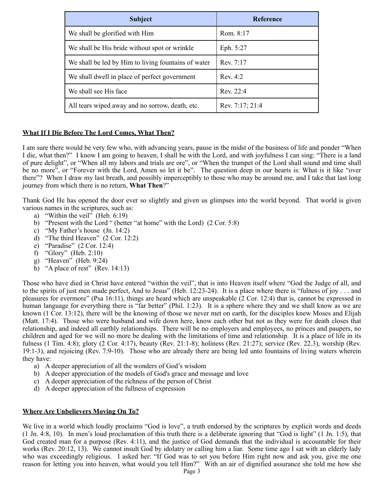| <b>Subject</b>                                      | <b>Reference</b> |
|-----------------------------------------------------|------------------|
| We shall be glorified with Him                      | Rom. 8:17        |
| We shall be His bride without spot or wrinkle       | Eph. 5:27        |
| We shall be led by Him to living fountains of water | Rev. 7:17        |
| We shall dwell in place of perfect government       | Rev. 4:2         |
| We shall see His face                               | Rev. $22:4$      |
| All tears wiped away and no sorrow, death, etc.     | Rev. 7:17; 21:4  |

# **What If I Die Before The Lord Comes, What Then?**

I am sure there would be very few who, with advancing years, pause in the midst of the business of life and ponder "When I die, what then?" I know I am going to heaven, I shall be with the Lord, and with joyfulness I can sing: "There is a land of pure delight", or "When all my labors and trials are ore", or "When the trumpet of the Lord shall sound and time shall be no more", or "Forever with the Lord, Amen so let it be". The question deep in our hearts is: What is it like "over there"? When I draw my last breath, and possibly imperceptibly to those who may be around me, and I take that last long journey from which there is no return, **What Then**?"

Thank God He has opened the door ever so slightly and given us glimpses into the world beyond. That world is given various names in the scriptures, such as:

- a) "Within the veil" (Heb.  $6:19$ )
- b) "Present with the Lord " (better "at home" with the Lord) (2 Cor. 5:8)
- c) "My Father's house (Jn. 14:2)
- d) "The third Heaven" (2 Cor. 12:2)
- e) "Paradise" (2 Cor. 12:4)
- f) "Glory" (Heb. 2:10)
- g) "Heaven" (Heb. 9:24)
- h) "A place of rest" (Rev. 14:13)

Those who have died in Christ have entered "within the veil", that is into Heaven itself where "God the Judge of all, and to the spirits of just men made perfect, And to Jesus" (Heb. 12:23-24). It is a place where there is "fulness of joy . . . and pleasures for evermore" (Psa 16:11), things are heard which are unspeakable (2 Cor. 12:4) that is, cannot be expressed in human language for everything there is "far better" (Phil. 1:23). It is a sphere where they and we shall know as we are known (1 Cor. 13:12), there will be the knowing of those we never met on earth, for the disciples knew Moses and Elijah (Matt. 17:4). Those who were husband and wife down here, know each other but not as they were for death closes that relationship, and indeed all earthly relationships. There will be no employers and employees, no princes and paupers, no children and aged for we will no more be dealing with the limitations of time and relationship. It is a place of life in its fulness (1 Tim. 4:8); glory (2 Cor. 4:17), beauty (Rev. 21:1-8); holiness (Rev. 21:27); service (Rev. 22.3), worship (Rev. 19:1-3), and rejoicing (Rev. 7:9-10). Those who are already there are being led unto fountains of living waters wherein they have:

- a) A deeper appreciation of all the wonders of God's wisdom
- b) A deeper appreciation of the models of God's grace and message and love
- c) A deeper appreciation of the richness of the person of Christ
- d) A deeper appreciation of the fullness of expression

## **Where Are Unbelievers Moving On To?**

We live in a world which loudly proclaims "God is love", a truth endorsed by the scriptures by explicit words and deeds (1 Jn. 4:8, 10). In men's loud proclamation of this truth there is a deliberate ignoring that "God is light" (1 Jn. 1:5), that God created man for a purpose (Rev. 4:11), and the justice of God demands that the individual is accountable for their works (Rev. 20:12, 13). We cannot insult God by idolatry or calling him a liar. Some time ago I sat with an elderly lady who was exceedingly religious. I asked her: "If God was to set you before Him right now and ask you, give me one reason for letting you into heaven, what would you tell Him?" With an air of dignified assurance she told me how she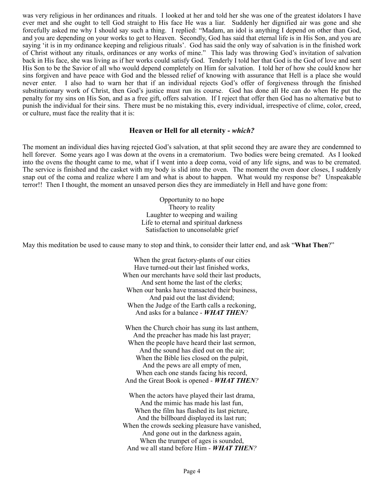was very religious in her ordinances and rituals. I looked at her and told her she was one of the greatest idolators I have ever met and she ought to tell God straight to His face He was a liar. Suddenly her dignified air was gone and she forcefully asked me why I should say such a thing. I replied: "Madam, an idol is anything I depend on other than God, and you are depending on your works to get to Heaven. Secondly, God has said that eternal life is in His Son, and you are saying 'it is in my ordinance keeping and religious rituals'. God has said the only way of salvation is in the finished work of Christ without any rituals, ordinances or any works of mine." This lady was throwing God's invitation of salvation back in His face, she was living as if her works could satisfy God. Tenderly I told her that God is the God of love and sent His Son to be the Savior of all who would depend completely on Him for salvation. I told her of how she could know her sins forgiven and have peace with God and the blessed relief of knowing with assurance that Hell is a place she would never enter. I also had to warn her that if an individual rejects God's offer of forgiveness through the finished substitutionary work of Christ, then God's justice must run its course. God has done all He can do when He put the penalty for my sins on His Son, and as a free gift, offers salvation. If I reject that offer then God has no alternative but to punish the individual for their sins. There must be no mistaking this, every individual, irrespective of clime, color, creed, or culture, must face the reality that it is:

## **Heaven or Hell for all eternity -** *which?*

The moment an individual dies having rejected God's salvation, at that split second they are aware they are condemned to hell forever. Some years ago I was down at the ovens in a crematorium. Two bodies were being cremated. As I looked into the ovens the thought came to me, what if I went into a deep coma, void of any life signs, and was to be cremated. The service is finished and the casket with my body is slid into the oven. The moment the oven door closes, I suddenly snap out of the coma and realize where I am and what is about to happen. What would my response be? Unspeakable terror!! Then I thought, the moment an unsaved person dies they are immediately in Hell and have gone from:

> Opportunity to no hope Theory to reality Laughter to weeping and wailing Life to eternal and spiritual darkness Satisfaction to unconsolable grief

May this meditation be used to cause many to stop and think, to consider their latter end, and ask "**What Then**?"

When the great factory-plants of our cities Have turned-out their last finished works, When our merchants have sold their last products. And sent home the last of the clerks; When our banks have transacted their business, And paid out the last dividend; When the Judge of the Earth calls a reckoning, And asks for a balance - *WHAT THEN?*

When the Church choir has sung its last anthem, And the preacher has made his last prayer; When the people have heard their last sermon. And the sound has died out on the air; When the Bible lies closed on the pulpit, And the pews are all empty of men, When each one stands facing his record, And the Great Book is opened - *WHAT THEN?*

When the actors have played their last drama, And the mimic has made his last fun, When the film has flashed its last picture, And the billboard displayed its last run; When the crowds seeking pleasure have vanished, And gone out in the darkness again, When the trumpet of ages is sounded, And we all stand before Him - *WHAT THEN?*